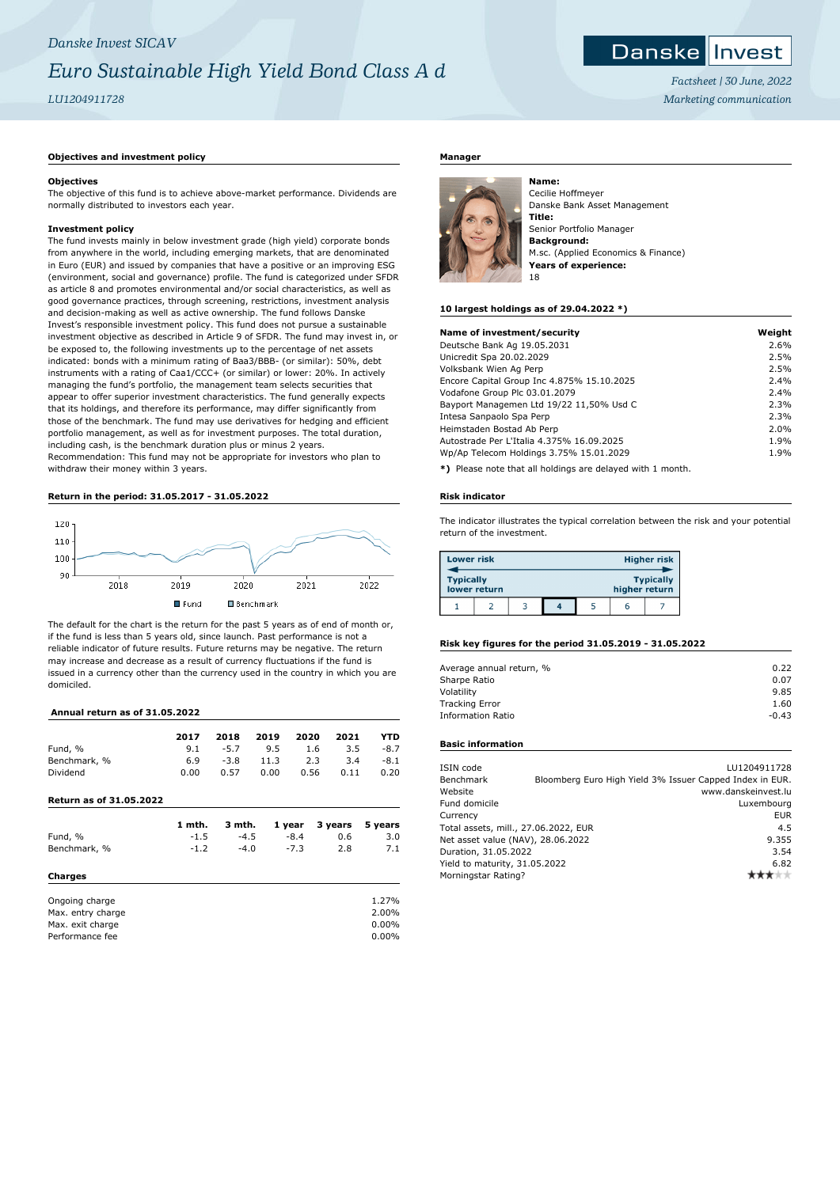# *Danske Invest SICAV Euro Sustainable High Yield Bond Class A d LU1204911728*

# Danske Invest

*Factsheet | 30 June, 2022 Marketing communication*

## **Objectives and investment policy**

### **Objectives**

The objective of this fund is to achieve above-market performance. Dividends are normally distributed to investors each year.

# **Investment policy**

The fund invests mainly in below investment grade (high yield) corporate bonds from anywhere in the world, including emerging markets, that are denominated in Euro (EUR) and issued by companies that have a positive or an improving ESG (environment, social and governance) profile. The fund is categorized under SFDR as article 8 and promotes environmental and/or social characteristics, as well as good governance practices, through screening, restrictions, investment analysis and decision-making as well as active ownership. The fund follows Danske Invest's responsible investment policy. This fund does not pursue a sustainable investment objective as described in Article 9 of SFDR. The fund may invest in, or be exposed to, the following investments up to the percentage of net assets indicated: bonds with a minimum rating of Baa3/BBB- (or similar): 50%, debt instruments with a rating of Caa1/CCC+ (or similar) or lower: 20%. In actively managing the fund's portfolio, the management team selects securities that appear to offer superior investment characteristics. The fund generally expects that its holdings, and therefore its performance, may differ significantly from those of the benchmark. The fund may use derivatives for hedging and efficient portfolio management, as well as for investment purposes. The total duration, including cash, is the benchmark duration plus or minus 2 years. Recommendation: This fund may not be appropriate for investors who plan to withdraw their money within 3 years.

## **Return in the period: 31.05.2017 - 31.05.2022**



The default for the chart is the return for the past 5 years as of end of month or, if the fund is less than 5 years old, since launch. Past performance is not a reliable indicator of future results. Future returns may be negative. The return may increase and decrease as a result of currency fluctuations if the fund is issued in a currency other than the currency used in the country in which you are domiciled.

### **Annual return as of 31.05.2022**

| 2017                | 2018   | 2019 | 2020 | 2021 | YTD    |
|---------------------|--------|------|------|------|--------|
| 9.1                 | $-5.7$ | 9.5  | 1.6  | 3.5  | $-8.7$ |
| Benchmark, %<br>6.9 | $-3.8$ | 11.3 | 2.3  | 3.4  | $-8.1$ |
| 0.00                | 0.57   | 0.00 | 0.56 | 0.11 | 0.20   |
|                     |        |      |      |      |        |

# **Return as of 31.05.2022**

|                | 1 mth. | 3 mth. | 1 year | 3 years | 5 years |
|----------------|--------|--------|--------|---------|---------|
| Fund, %        | $-1.5$ | $-4.5$ | $-8.4$ | 0.6     | 3.0     |
| Benchmark, %   | $-1.2$ | $-4.0$ | $-7.3$ | 2.8     | 7.1     |
| Charges        |        |        |        |         |         |
| Ongoing charge |        |        |        |         | 1.27%   |

Max. entry charge 2.00% Max. exit charge 0.00% Performance fee 0.00%

#### **Manager**



Cecilie Hoffmeyer Danske Bank Asset Management **Title:** Senior Portfolio Manager **Background:** M.sc. (Applied Economics & Finance) **Years of experience:** 18

#### **10 largest holdings as of 29.04.2022 \*)**

**Name:**

| Name of investment/security                | Weight |
|--------------------------------------------|--------|
| Deutsche Bank Ag 19.05.2031                | 2.6%   |
| Unicredit Spa 20.02.2029                   | 2.5%   |
| Volksbank Wien Ag Perp                     | 2.5%   |
| Encore Capital Group Inc 4.875% 15.10.2025 | 2.4%   |
| Vodafone Group Plc 03.01.2079              | 2.4%   |
| Bayport Managemen Ltd 19/22 11,50% Usd C   | 2.3%   |
| Intesa Sanpaolo Spa Perp                   | 2.3%   |
| Heimstaden Bostad Ab Perp                  | 2.0%   |
| Autostrade Per L'Italia 4.375% 16.09.2025  | 1.9%   |
| Wp/Ap Telecom Holdings 3.75% 15.01.2029    | 1.9%   |
|                                            |        |

**\*)** Please note that all holdings are delayed with 1 month.

#### **Risk indicator**

The indicator illustrates the typical correlation between the risk and your potential return of the investment.

| <b>Lower risk</b> |              |   |  |               | <b>Higher risk</b> |
|-------------------|--------------|---|--|---------------|--------------------|
| <b>Typically</b>  | lower return |   |  | higher return | <b>Typically</b>   |
|                   |              | ۰ |  |               |                    |

#### **Risk key figures for the period 31.05.2019 - 31.05.2022**

| 0.22    |
|---------|
| 0.07    |
| 9.85    |
| 1.60    |
| $-0.43$ |
|         |

#### **Basic information**

| ISIN code                            |       | LU1204911728                                             |
|--------------------------------------|-------|----------------------------------------------------------|
| Benchmark                            |       | Bloomberg Euro High Yield 3% Issuer Capped Index in EUR. |
| Website                              |       | www.danskeinvest.lu                                      |
| Fund domicile                        |       | Luxembourg                                               |
| Currency                             |       | <b>EUR</b>                                               |
| Total assets, mill., 27.06.2022, EUR |       | 4.5                                                      |
| Net asset value (NAV), 28.06.2022    | 9.355 |                                                          |
| Duration, 31.05.2022                 | 3.54  |                                                          |
| Yield to maturity, 31.05.2022        | 6.82  |                                                          |
| Morningstar Rating?                  |       |                                                          |